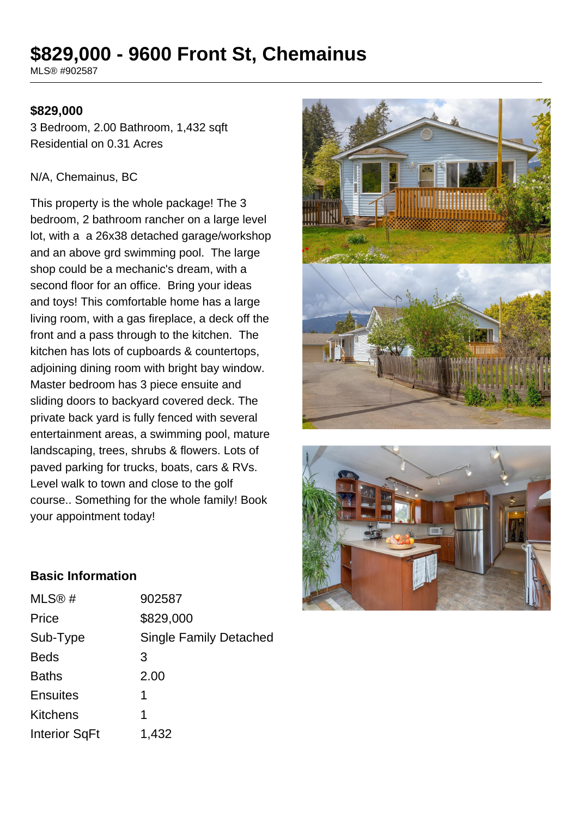# **\$829,000 - 9600 Front St, Chemainus**

MLS® #902587

#### **\$829,000**

3 Bedroom, 2.00 Bathroom, 1,432 sqft Residential on 0.31 Acres

#### N/A, Chemainus, BC

This property is the whole package! The 3 bedroom, 2 bathroom rancher on a large level lot, with a a 26x38 detached garage/workshop and an above grd swimming pool. The large shop could be a mechanic's dream, with a second floor for an office. Bring your ideas and toys! This comfortable home has a large living room, with a gas fireplace, a deck off the front and a pass through to the kitchen. The kitchen has lots of cupboards & countertops, adjoining dining room with bright bay window. Master bedroom has 3 piece ensuite and sliding doors to backyard covered deck. The private back yard is fully fenced with several entertainment areas, a swimming pool, mature landscaping, trees, shrubs & flowers. Lots of paved parking for trucks, boats, cars & RVs. Level walk to town and close to the golf course.. Something for the whole family! Book your appointment today!





### **Basic Information**

| MLS@#                | 902587                        |
|----------------------|-------------------------------|
| Price                | \$829,000                     |
| Sub-Type             | <b>Single Family Detached</b> |
| <b>Beds</b>          | 3                             |
| <b>Baths</b>         | 2.00                          |
| <b>Ensuites</b>      | 1                             |
| <b>Kitchens</b>      | 1                             |
| <b>Interior SqFt</b> | 1,432                         |